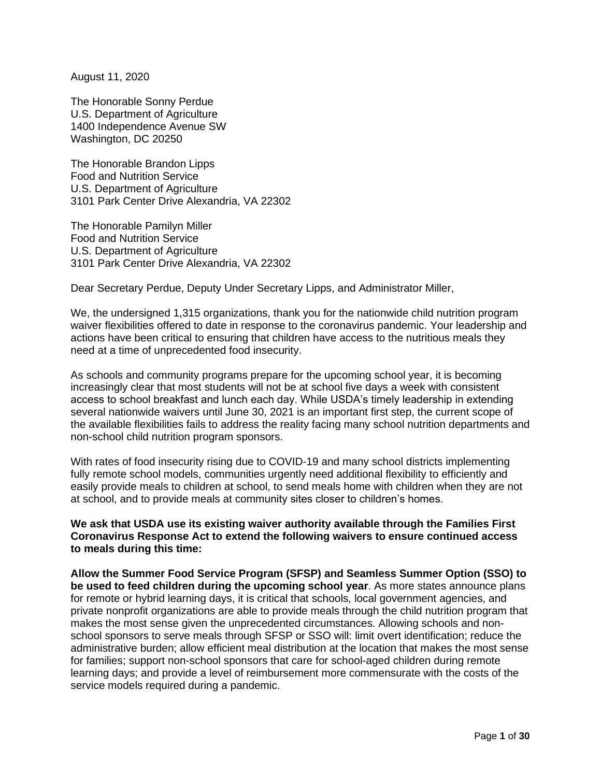August 11, 2020

The Honorable Sonny Perdue U.S. Department of Agriculture 1400 Independence Avenue SW Washington, DC 20250

The Honorable Brandon Lipps Food and Nutrition Service U.S. Department of Agriculture 3101 Park Center Drive Alexandria, VA 22302

The Honorable Pamilyn Miller Food and Nutrition Service U.S. Department of Agriculture 3101 Park Center Drive Alexandria, VA 22302

Dear Secretary Perdue, Deputy Under Secretary Lipps, and Administrator Miller,

We, the undersigned 1,315 organizations, thank you for the nationwide child nutrition program waiver flexibilities offered to date in response to the coronavirus pandemic. Your leadership and actions have been critical to ensuring that children have access to the nutritious meals they need at a time of unprecedented food insecurity.

As schools and community programs prepare for the upcoming school year, it is becoming increasingly clear that most students will not be at school five days a week with consistent access to school breakfast and lunch each day. While USDA's timely leadership in extending several nationwide waivers until June 30, 2021 is an important first step, the current scope of the available flexibilities fails to address the reality facing many school nutrition departments and non-school child nutrition program sponsors.

With rates of food insecurity rising due to COVID-19 and many school districts implementing fully remote school models, communities urgently need additional flexibility to efficiently and easily provide meals to children at school, to send meals home with children when they are not at school, and to provide meals at community sites closer to children's homes.

**We ask that USDA use its existing waiver authority available through the Families First Coronavirus Response Act to extend the following waivers to ensure continued access to meals during this time:**

**Allow the Summer Food Service Program (SFSP) and Seamless Summer Option (SSO) to be used to feed children during the upcoming school year**. As more states announce plans for remote or hybrid learning days, it is critical that schools, local government agencies, and private nonprofit organizations are able to provide meals through the child nutrition program that makes the most sense given the unprecedented circumstances. Allowing schools and nonschool sponsors to serve meals through SFSP or SSO will: limit overt identification; reduce the administrative burden; allow efficient meal distribution at the location that makes the most sense for families; support non-school sponsors that care for school-aged children during remote learning days; and provide a level of reimbursement more commensurate with the costs of the service models required during a pandemic.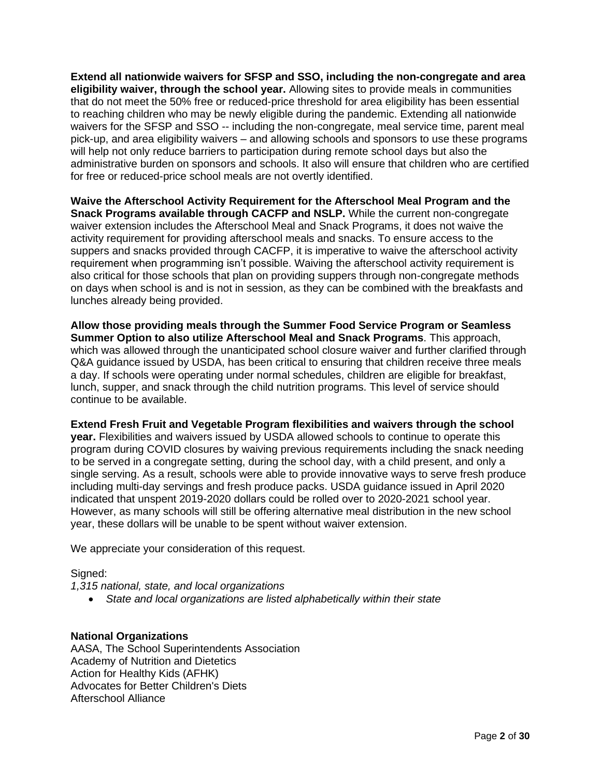**Extend all nationwide waivers for SFSP and SSO, including the non-congregate and area eligibility waiver, through the school year.** Allowing sites to provide meals in communities that do not meet the 50% free or reduced-price threshold for area eligibility has been essential to reaching children who may be newly eligible during the pandemic. Extending all nationwide waivers for the SFSP and SSO -- including the non-congregate, meal service time, parent meal pick-up, and area eligibility waivers – and allowing schools and sponsors to use these programs will help not only reduce barriers to participation during remote school days but also the administrative burden on sponsors and schools. It also will ensure that children who are certified for free or reduced-price school meals are not overtly identified.

**Waive the Afterschool Activity Requirement for the Afterschool Meal Program and the Snack Programs available through CACFP and NSLP.** While the current non-congregate waiver extension includes the Afterschool Meal and Snack Programs, it does not waive the activity requirement for providing afterschool meals and snacks. To ensure access to the suppers and snacks provided through CACFP, it is imperative to waive the afterschool activity requirement when programming isn't possible. Waiving the afterschool activity requirement is also critical for those schools that plan on providing suppers through non-congregate methods on days when school is and is not in session, as they can be combined with the breakfasts and lunches already being provided.

**Allow those providing meals through the Summer Food Service Program or Seamless Summer Option to also utilize Afterschool Meal and Snack Programs**. This approach, which was allowed through the unanticipated school closure waiver and further clarified through Q&A guidance issued by USDA, has been critical to ensuring that children receive three meals a day. If schools were operating under normal schedules, children are eligible for breakfast, lunch, supper, and snack through the child nutrition programs. This level of service should continue to be available.

**Extend Fresh Fruit and Vegetable Program flexibilities and waivers through the school year.** Flexibilities and waivers issued by USDA allowed schools to continue to operate this program during COVID closures by waiving previous requirements including the snack needing to be served in a congregate setting, during the school day, with a child present, and only a single serving. As a result, schools were able to provide innovative ways to serve fresh produce including multi-day servings and fresh produce packs. USDA guidance issued in April 2020 indicated that unspent 2019-2020 dollars could be rolled over to 2020-2021 school year. However, as many schools will still be offering alternative meal distribution in the new school year, these dollars will be unable to be spent without waiver extension.

We appreciate your consideration of this request.

### Signed:

*1,315 national, state, and local organizations*

• *State and local organizations are listed alphabetically within their state* 

# **National Organizations**

AASA, The School Superintendents Association Academy of Nutrition and Dietetics Action for Healthy Kids (AFHK) Advocates for Better Children's Diets Afterschool Alliance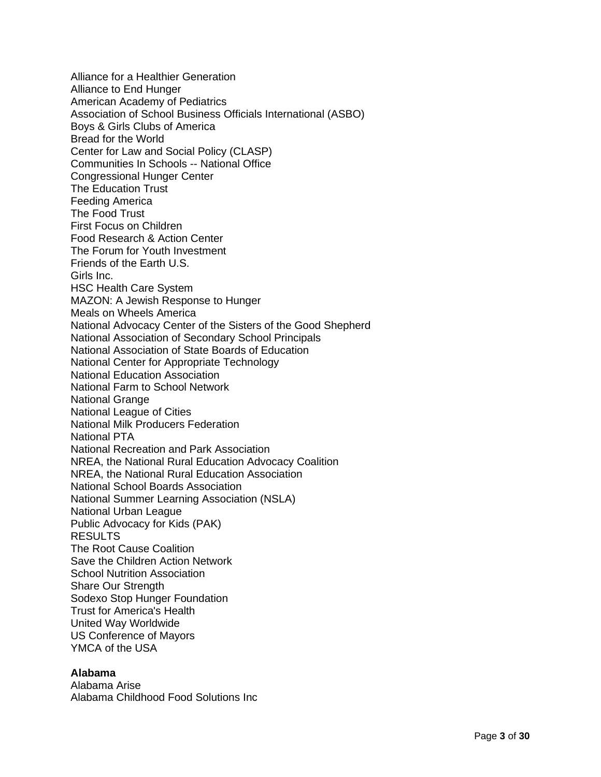Alliance for a Healthier Generation Alliance to End Hunger American Academy of Pediatrics Association of School Business Officials International (ASBO) Boys & Girls Clubs of America Bread for the World Center for Law and Social Policy (CLASP) Communities In Schools -- National Office Congressional Hunger Center The Education Trust Feeding America The Food Trust First Focus on Children Food Research & Action Center The Forum for Youth Investment Friends of the Earth U.S. Girls Inc. HSC Health Care System MAZON: A Jewish Response to Hunger Meals on Wheels America National Advocacy Center of the Sisters of the Good Shepherd National Association of Secondary School Principals National Association of State Boards of Education National Center for Appropriate Technology National Education Association National Farm to School Network National Grange National League of Cities National Milk Producers Federation National PTA National Recreation and Park Association NREA, the National Rural Education Advocacy Coalition NREA, the National Rural Education Association National School Boards Association National Summer Learning Association (NSLA) National Urban League Public Advocacy for Kids (PAK) RESULTS The Root Cause Coalition Save the Children Action Network School Nutrition Association Share Our Strength Sodexo Stop Hunger Foundation Trust for America's Health United Way Worldwide US Conference of Mayors YMCA of the USA

### **Alabama**

Alabama Arise Alabama Childhood Food Solutions Inc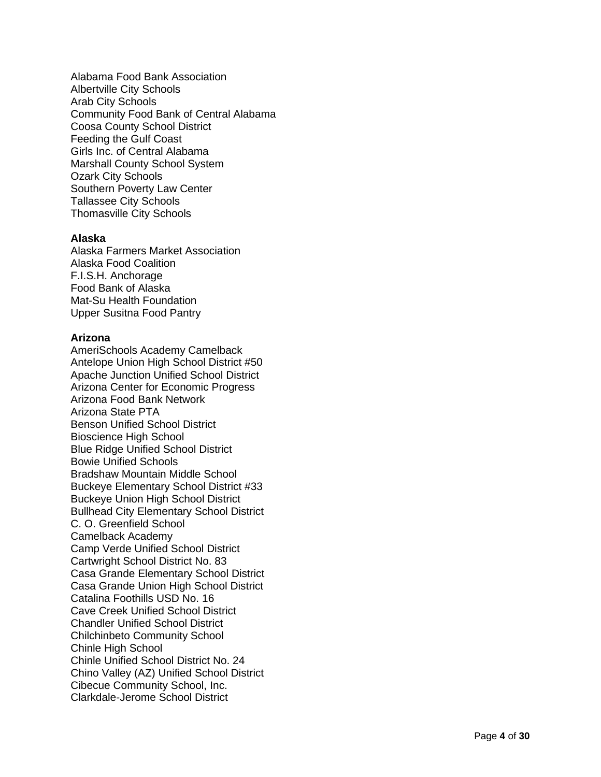Alabama Food Bank Association Albertville City Schools Arab City Schools Community Food Bank of Central Alabama Coosa County School District Feeding the Gulf Coast Girls Inc. of Central Alabama Marshall County School System Ozark City Schools Southern Poverty Law Center Tallassee City Schools Thomasville City School s

## **Alaska**

Alaska Farmers Market Association Alaska Food Coalition F.I.S.H. Anchorage Food Bank of Alaska Mat -Su Health Foundation Upper Susitna Food Pantry

# **Arizona**

AmeriSchools Academy Camelback Antelope Union High School District #50 Apache Junction Unified School District Arizona Center for Economic Progress Arizona Food Bank Network Arizona State PTA Benson Unified School District Bioscience High School Blue Ridge Unified School District Bowie Unified Schools Bradshaw Mountain Middle School Buckeye Elementary School District #33 Buckeye Union High School District Bullhead City Elementary School District C. O. Greenfield School Camelback Academy Camp Verde Unified School District Cartwright School District No. 83 Casa Grande Elementary School District Casa Grande Union High School District Catalina Foothills USD No. 16 Cave Creek Unified School District Chandler Unified School District Chilchinbeto Community School Chinle High School Chinle Unified School District No. 24 Chino Valley (AZ) Unified School District Cibecue Community School, Inc. Clarkdale -Jerome School District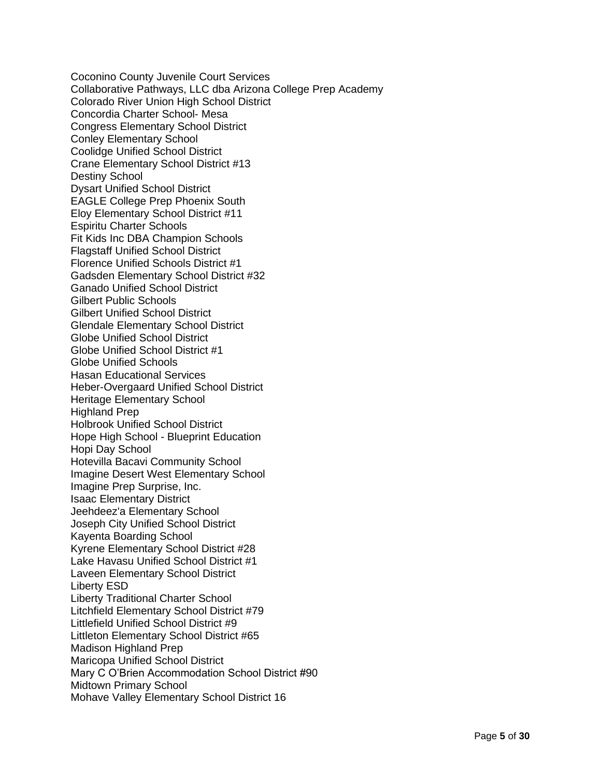Coconino County Juvenile Court Services Collaborative Pathways, LLC dba Arizona College Prep Academy Colorado River Union High School District Concordia Charter School- Mesa Congress Elementary School District Conley Elementary School Coolidge Unified School District Crane Elementary School District #13 Destiny School Dysart Unified School District EAGLE College Prep Phoenix South Eloy Elementary School District #11 Espiritu Charter Schools Fit Kids Inc DBA Champion Schools Flagstaff Unified School District Florence Unified Schools District #1 Gadsden Elementary School District #32 Ganado Unified School District Gilbert Public Schools Gilbert Unified School District Glendale Elementary School District Globe Unified School District Globe Unified School District #1 Globe Unified Schools Hasan Educational Services Heber-Overgaard Unified School District Heritage Elementary School Highland Prep Holbrook Unified School District Hope High School - Blueprint Education Hopi Day School Hotevilla Bacavi Community School Imagine Desert West Elementary School Imagine Prep Surprise, Inc. Isaac Elementary District Jeehdeez'a Elementary School Joseph City Unified School District Kayenta Boarding School Kyrene Elementary School District #28 Lake Havasu Unified School District #1 Laveen Elementary School District Liberty ESD Liberty Traditional Charter School Litchfield Elementary School District #79 Littlefield Unified School District #9 Littleton Elementary School District #65 Madison Highland Prep Maricopa Unified School District Mary C O'Brien Accommodation School District #90 Midtown Primary School Mohave Valley Elementary School District 16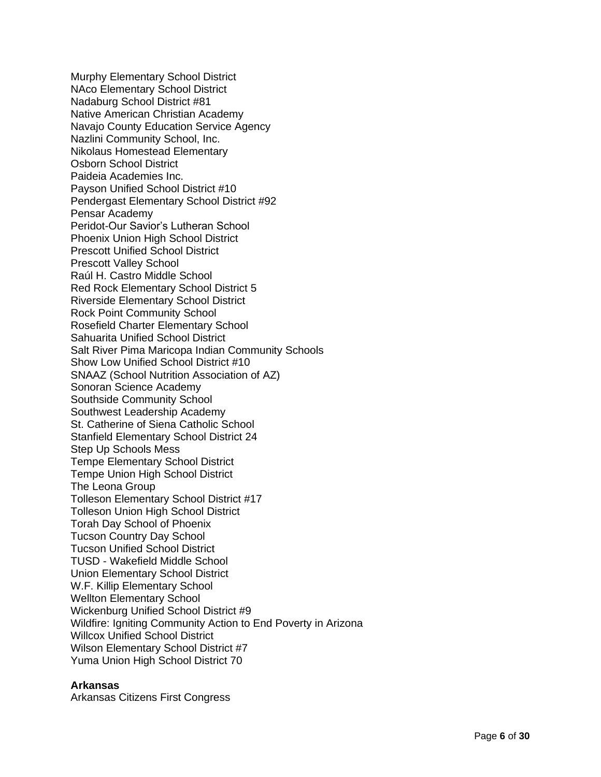Murphy Elementary School District NAco Elementary School District Nadaburg School District #81 Native American Christian Academy Navajo County Education Service Agency Nazlini Community School, Inc. Nikolaus Homestead Elementary Osborn School District Paideia Academies Inc. Payson Unified School District #10 Pendergast Elementary School District #92 Pensar Academy Peridot -Our Savior's Lutheran School Phoenix Union High School District Prescott Unified School District Prescott Valley School Raúl H. Castro Middle School Red Rock Elementary School District 5 Riverside Elementary School District Rock Point Community School Rosefield Charter Elementary School Sahuarita Unified School District Salt River Pima Maricopa Indian Community Schools Show Low Unified School District #10 SNAAZ (School Nutrition Association of AZ) Sonoran Science Academy Southside Community School Southwest Leadership Academy St. Catherine of Siena Catholic School Stanfield Elementary School District 24 Step Up Schools Mess Tempe Elementary School District Tempe Union High School District The Leona Group Tolleson Elementary School District #17 Tolleson Union High School District Torah Day School of Phoenix Tucson Country Day School Tucson Unified School District TUSD - Wakefield Middle School Union Elementary School District W.F. Killip Elementary School Wellton Elementary School Wickenburg Unified School District #9 Wildfire: Igniting Community Action to End Poverty in Arizona Willcox Unified School District Wilson Elementary School District #7 Yuma Union High School District 70

#### **Arkansas**

Arkansas Citizens First Congress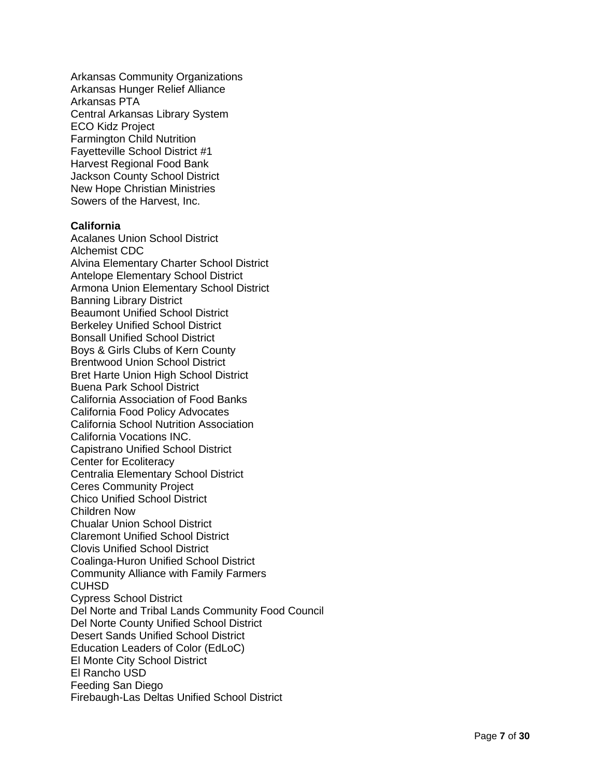Arkansas Community Organizations Arkansas Hunger Relief Alliance Arkansas PTA Central Arkansas Library System ECO Kidz Project Farmington Child Nutrition Fayetteville School District #1 Harvest Regional Food Bank Jackson County School District New Hope Christian Ministries Sowers of the Harvest, Inc.

### **California**

Acalanes Union School District Alchemist CDC Alvina Elementary Charter School District Antelope Elementary School District Armona Union Elementary School District Banning Library District Beaumont Unified School District Berkeley Unified School District Bonsall Unified School District Boys & Girls Clubs of Kern County Brentwood Union School District Bret Harte Union High School District Buena Park School District California Association of Food Banks California Food Policy Advocates California School Nutrition Association California Vocations INC. Capistrano Unified School District Center for Ecoliteracy Centralia Elementary School District Ceres Community Project Chico Unified School District Children Now Chualar Union School District Claremont Unified School District Clovis Unified School District Coalinga -Huron Unified School District Community Alliance with Family Farmers **CUHSD** Cypress School District Del Norte and Tribal Lands Community Food Council Del Norte County Unified School District Desert Sands Unified School District Education Leaders of Color (EdLoC) El Monte City School District El Rancho USD Feeding San Diego Firebaugh-Las Deltas Unified School District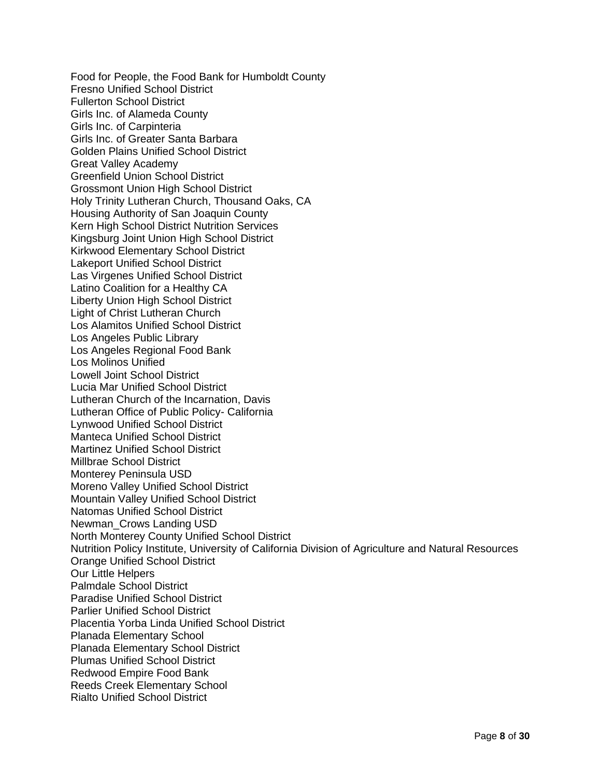Food for People, the Food Bank for Humboldt County Fresno Unified School District Fullerton School District Girls Inc. of Alameda County Girls Inc. of Carpinteria Girls Inc. of Greater Santa Barbara Golden Plains Unified School District Great Valley Academy Greenfield Union School District Grossmont Union High School District Holy Trinity Lutheran Church, Thousand Oaks, CA Housing Authority of San Joaquin County Kern High School District Nutrition Services Kingsburg Joint Union High School District Kirkwood Elementary School District Lakeport Unified School District Las Virgenes Unified School District Latino Coalition for a Healthy CA Liberty Union High School District Light of Christ Lutheran Church Los Alamitos Unified School District Los Angeles Public Library Los Angeles Regional Food Bank Los Molinos Unified Lowell Joint School District Lucia Mar Unified School District Lutheran Church of the Incarnation, Davis Lutheran Office of Public Policy- California Lynwood Unified School District Manteca Unified School District Martinez Unified School District Millbrae School District Monterey Peninsula USD Moreno Valley Unified School District Mountain Valley Unified School District Natomas Unified School District Newman\_Crows Landing USD North Monterey County Unified School District Nutrition Policy Institute, University of California Division of Agriculture and Natural Resources Orange Unified School District Our Little Helpers Palmdale School District Paradise Unified School District Parlier Unified School District Placentia Yorba Linda Unified School District Planada Elementary School Planada Elementary School District Plumas Unified School District Redwood Empire Food Bank Reeds Creek Elementary School Rialto Unified School District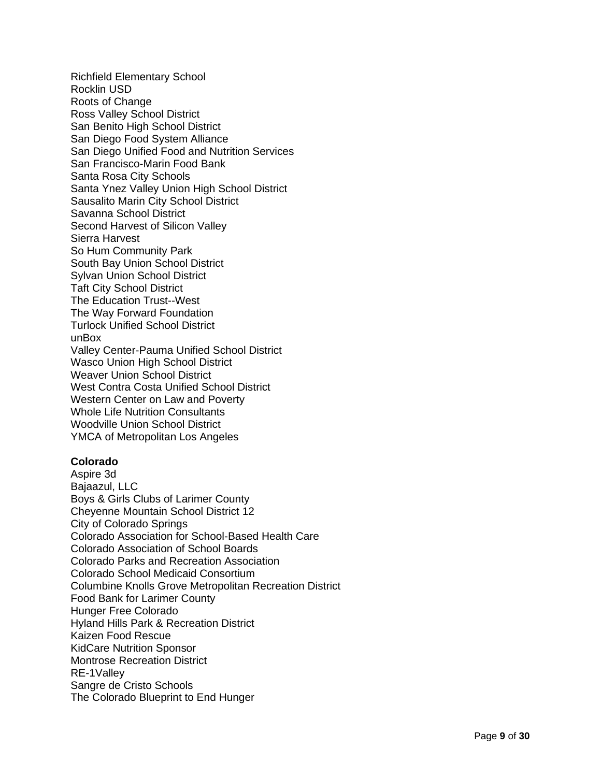Richfield Elementary School Rocklin US D Roots of Change Ross Valley School District San Benito High School District San Diego Food System Alliance San Diego Unified Food and Nutrition Services San Francisco -Marin Food Bank Santa Rosa City Schools Santa Ynez Valley Union High School District Sausalito Marin City School District Savanna School District Second Harvest of Silicon Valley Sierra Harvest So Hum Community Park South Bay Union School District Sylvan Union School District Taft City School District The Education Trust--West The Way Forward Foundation Turlock Unified School District unBox Valley Center -Pauma Unified School District Wasco Union High School District Weaver Union School District West Contra Costa Unified School District Western Center on Law and Poverty Whole Life Nutrition Consultants Woodville Union School District YMCA of Metropolitan Los Angeles

### **Colorado**

Aspire 3d Bajaazul, LLC Boys & Girls Clubs of Larimer County Cheyenne Mountain School District 12 City of Colorado Springs Colorado Association for School -Based Health Car e Colorado Association of School Boards Colorado Parks and Recreation Association Colorado School Medicaid Consortium Columbine Knolls Grove Metropolitan Recreation District Food Bank for Larimer County Hunger Free Colorado Hyland Hills Park & Recreation District Kaizen Food Rescue KidCare Nutrition Sponsor Montrose Recreation District RE -1Valley Sangre de Cristo Schools The Colorado Blueprint to End Hunger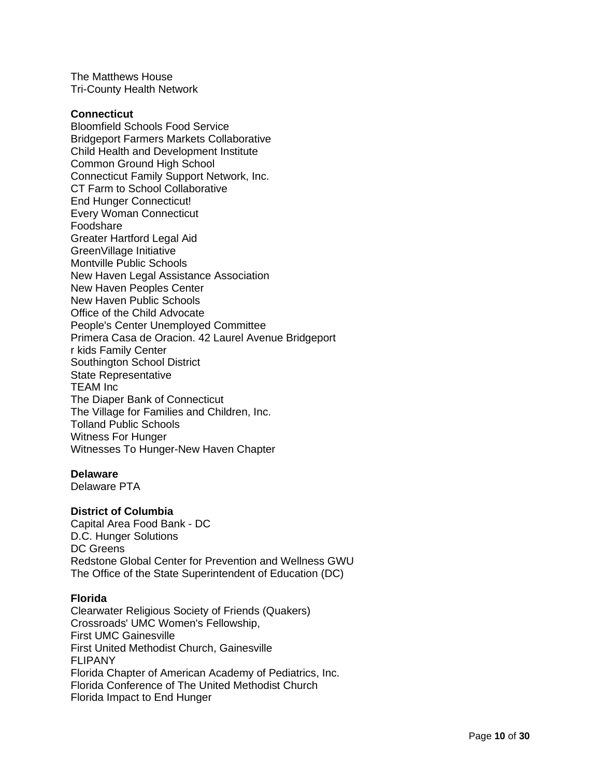The Matthews House Tri-County Health Network

#### **Connecticut**

Bloomfield Schools Food Service Bridgeport Farmers Markets Collaborative Child Health and Development Institute Common Ground High School Connecticut Family Support Network, Inc. CT Farm to School Collaborative End Hunger Connecticut! Every Woman Connecticut Foodshare Greater Hartford Legal Aid GreenVillage Initiative Montville Public Schools New Haven Legal Assistance Association New Haven Peoples Center New Haven Public Schools Office of the Child Advocate People's Center Unemployed Committee Primera Casa de Oracion. 42 Laurel Avenue Bridgeport r kids Family Center Southington School District State Representative TEAM Inc The Diaper Bank of Connecticut The Village for Families and Children, Inc. Tolland Public Schools Witness For Hunger Witnesses To Hunger-New Haven Chapter

#### **Delaware**

Delaware PTA

### **District of Columbia**

Capital Area Food Bank - DC D.C. Hunger Solutions DC Greens Redstone Global Center for Prevention and Wellness GWU The Office of the State Superintendent of Education (DC)

## **Florida**

Clearwater Religious Society of Friends (Quakers) Crossroads' UMC Women's Fellowship, First UMC Gainesville First United Methodist Church, Gainesville FLIPANY Florida Chapter of American Academy of Pediatrics, Inc. Florida Conference of The United Methodist Church Florida Impact to End Hunger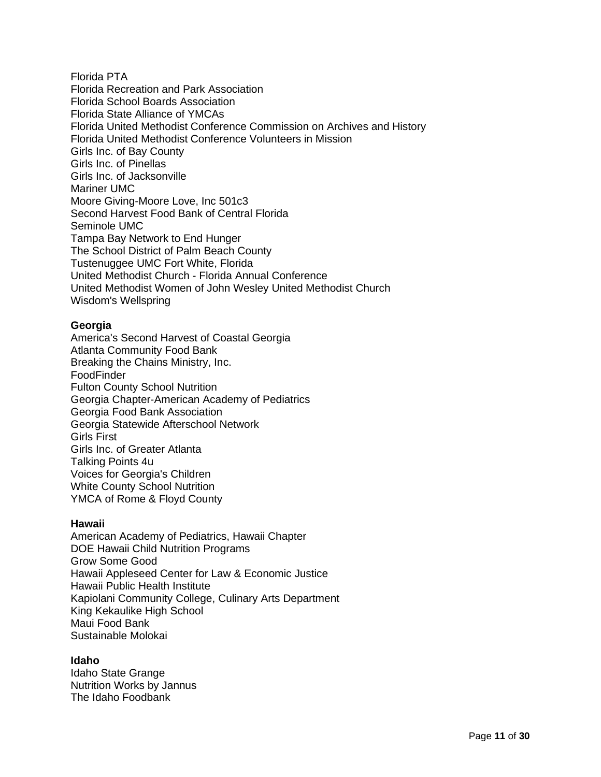Florida PTA Florida Recreation and Park Association Florida School Boards Association Florida State Alliance of YMCAs Florida United Methodist Conference Commission on Archives and History Florida United Methodist Conference Volunteers in Mission Girls Inc. of Bay County Girls Inc. of Pinellas Girls Inc. of Jacksonville Mariner UMC Moore Giving-Moore Love, Inc 501c3 Second Harvest Food Bank of Central Florida Seminole UMC Tampa Bay Network to End Hunger The School District of Palm Beach County Tustenuggee UMC Fort White, Florida United Methodist Church - Florida Annual Conference United Methodist Women of John Wesley United Methodist Church Wisdom's Wellspring

### **Georgia**

America's Second Harvest of Coastal Georgia Atlanta Community Food Bank Breaking the Chains Ministry, Inc. FoodFinder Fulton County School Nutrition Georgia Chapter-American Academy of Pediatrics Georgia Food Bank Association Georgia Statewide Afterschool Network Girls First Girls Inc. of Greater Atlanta Talking Points 4u Voices for Georgia's Children White County School Nutrition YMCA of Rome & Floyd County

### **Hawaii**

American Academy of Pediatrics, Hawaii Chapter DOE Hawaii Child Nutrition Programs Grow Some Good Hawaii Appleseed Center for Law & Economic Justice Hawaii Public Health Institute Kapiolani Community College, Culinary Arts Department King Kekaulike High School Maui Food Bank Sustainable Molokai

### **Idaho**

Idaho State Grange Nutrition Works by Jannus The Idaho Foodbank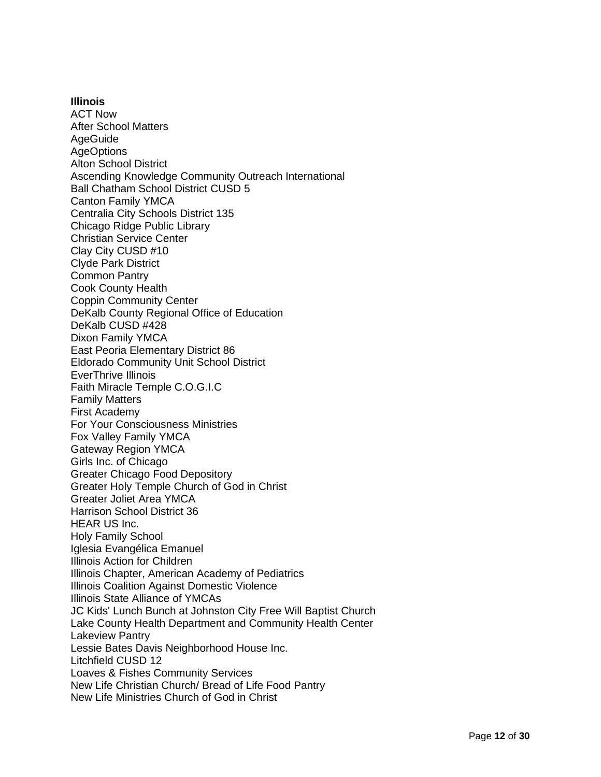#### **Illinois**

ACT Now After School Matters AgeGuide **AgeOptions** Alton School District Ascending Knowledge Community Outreach International Ball Chatham School District CUSD 5 Canton Family YMCA Centralia City Schools District 135 Chicago Ridge Public Library Christian Service Center Clay City CUSD #10 Clyde Park District Common Pantry Cook County Health Coppin Community Center DeKalb County Regional Office of Education DeKalb CUSD #428 Dixon Family YMCA East Peoria Elementary District 86 Eldorado Community Unit School District EverThrive Illinois Faith Miracle Temple C.O.G.I.C Family Matters First Academy For Your Consciousness Ministries Fox Valley Family YMCA Gateway Region YMCA Girls Inc. of Chicago Greater Chicago Food Depository Greater Holy Temple Church of God in Christ Greater Joliet Area YMCA Harrison School District 36 HEAR US Inc. Holy Family School Iglesia Evangélica Emanuel Illinois Action for Children Illinois Chapter, American Academy of Pediatrics Illinois Coalition Against Domestic Violence Illinois State Alliance of YMCAs JC Kids' Lunch Bunch at Johnston City Free Will Baptist Church Lake County Health Department and Community Health Center Lakeview Pantry Lessie Bates Davis Neighborhood House Inc. Litchfield CUSD 12 Loaves & Fishes Community Services New Life Christian Church/ Bread of Life Food Pantry New Life Ministries Church of God in Christ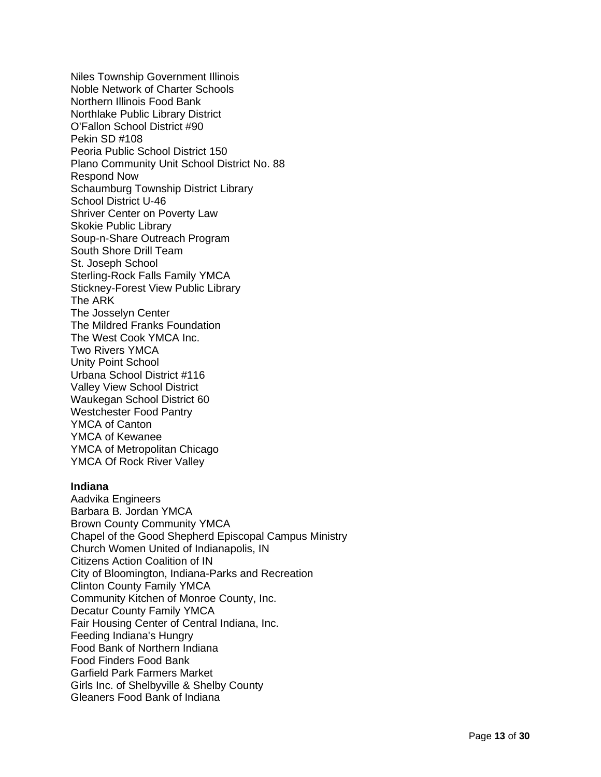Niles Township Government Illinois Noble Network of Charter Schools Northern Illinois Food Bank Northlake Public Library District O'Fallon School District #90 Pekin SD #108 Peoria Public School District 150 Plano Community Unit School District No. 88 Respond Now Schaumburg Township District Library School District U -46 Shriver Center on Poverty Law Skokie Public Library Soup - n -Share Outreach Program South Shore Drill Team St. Joseph School Sterling -Rock Falls Family YMCA Stickney -Forest View Public Library The ARK The Josselyn Center The Mildred Franks Foundation The West Cook YMCA Inc. Two Rivers YMCA Unity Point School Urbana School District #116 Valley View School District Waukegan School District 60 Westchester Food Pantry YMCA of Canton YMCA of Kewanee YMCA of Metropolitan Chicago YMCA Of Rock River Valley

### **Indiana**

Aadvika Engineers Barbara B. Jordan YMCA Brown County Community YMCA Chapel of the Good Shepherd Episcopal Campus Ministry Church Women United of Indianapolis, IN Citizens Action Coalition of IN City of Bloomington, Indiana -Parks and Recreation Clinton County Family YMCA Community Kitchen of Monroe County, Inc. Decatur County Family YMCA Fair Housing Center of Central Indiana, Inc. Feeding Indiana's Hungry Food Bank of Northern Indiana Food Finders Food Bank Garfield Park Farmers Market Girls Inc. of Shelbyville & Shelby County Gleaners Food Bank of Indiana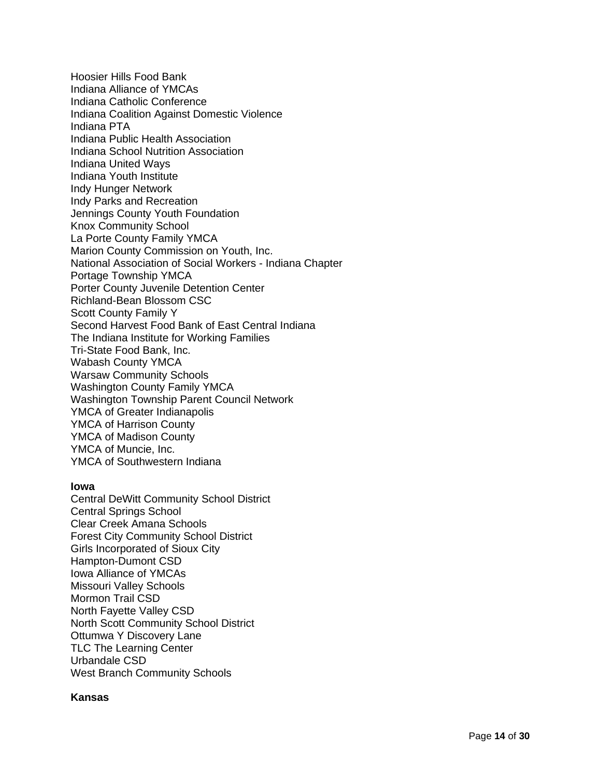Hoosier Hills Food Bank Indiana Alliance of YMCAs Indiana Catholic Conference Indiana Coalition Against Domestic Violence Indiana PTA Indiana Public Health Association Indiana School Nutrition Association Indiana United Ways Indiana Youth Institute Indy Hunger Network Indy Parks and Recreation Jennings County Youth Foundation Knox Community School La Porte County Family YMCA Marion County Commission on Youth, Inc. National Association of Social Workers - Indiana Chapter Portage Township YMCA Porter County Juvenile Detention Center Richland -Bean Blossom CSC Scott County Family Y Second Harvest Food Bank of East Central Indiana The Indiana Institute for Working Families Tri -State Food Bank, Inc. Wabash County YMCA Warsaw Community Schools Washington County Family YMCA Washington Township Parent Council Network YMCA of Greater Indianapolis YMCA of Harrison County YMCA of Madison County YMCA of Muncie, Inc. YMCA of Southwestern Indiana

### **Iowa**

Central DeWitt Community School District Central Springs School Clear Creek Amana Schools Forest City Community School District Girls Incorporated of Sioux City Hampton -Dumont CSD Iowa Alliance of YMCAs Missouri Valley Schools Mormon Trail CSD North Fayette Valley CSD North Scott Community School District Ottumwa Y Discovery Lane TLC The Learning Center Urbandale CSD West Branch Community Schools

### **Kansas**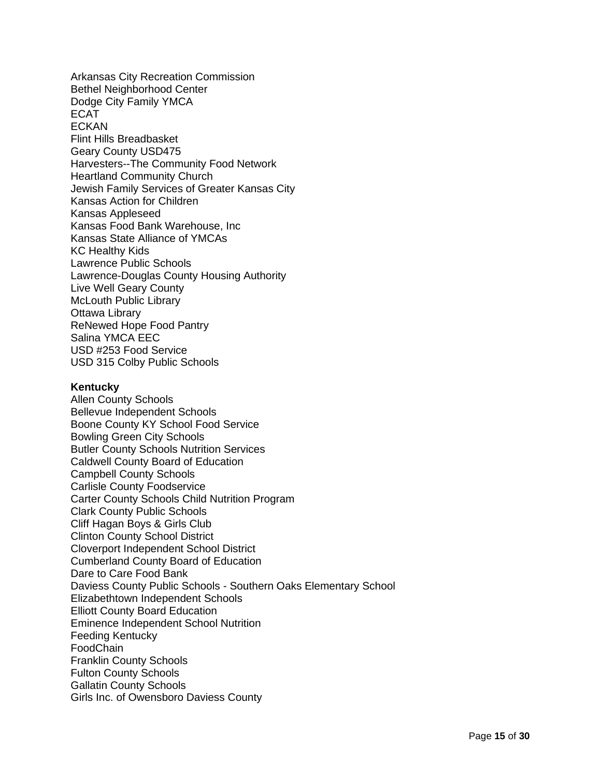Arkansas City Recreation Commission Bethel Neighborhood Center Dodge City Family YMCA ECAT **FCKAN** Flint Hills Breadbasket Geary County USD475 Harvesters--The Community Food Network Heartland Community Church Jewish Family Services of Greater Kansas City Kansas Action for Children Kansas Appleseed Kansas Food Bank Warehouse, Inc Kansas State Alliance of YMCAs KC Healthy Kids Lawrence Public Schools Lawrence-Douglas County Housing Authority Live Well Geary County McLouth Public Library Ottawa Library ReNewed Hope Food Pantry Salina YMCA EEC USD #253 Food Service USD 315 Colby Public Schools

#### **Kentucky**

Allen County Schools Bellevue Independent Schools Boone County KY School Food Service Bowling Green City Schools Butler County Schools Nutrition Services Caldwell County Board of Education Campbell County Schools Carlisle County Foodservice Carter County Schools Child Nutrition Program Clark County Public Schools Cliff Hagan Boys & Girls Club Clinton County School District Cloverport Independent School District Cumberland County Board of Education Dare to Care Food Bank Daviess County Public Schools - Southern Oaks Elementary School Elizabethtown Independent Schools Elliott County Board Education Eminence Independent School Nutrition Feeding Kentucky FoodChain Franklin County Schools Fulton County Schools Gallatin County Schools Girls Inc. of Owensboro Daviess County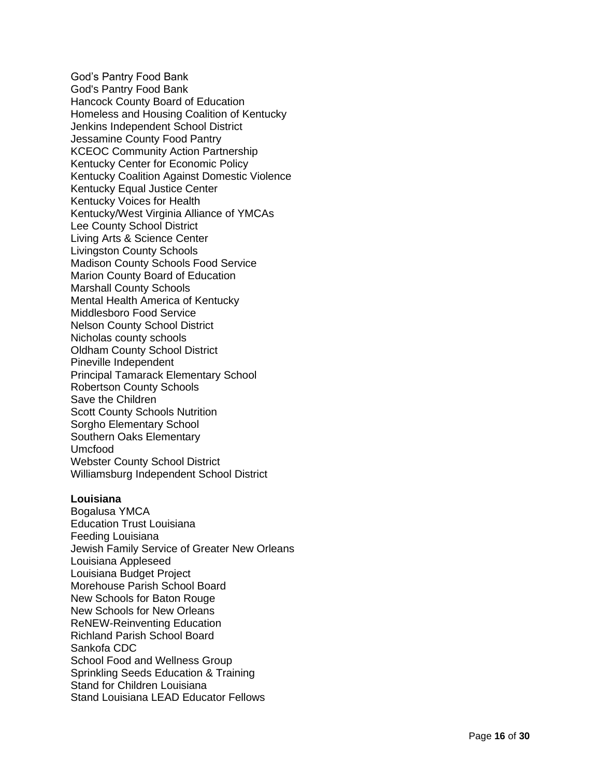God's Pantry Food Bank God's Pantry Food Bank Hancock County Board of Education Homeless and Housing Coalition of Kentucky Jenkins Independent School District Jessamine County Food Pantry KCEOC Community Action Partnership Kentucky Center for Economic Policy Kentucky Coalition Against Domestic Violence Kentucky Equal Justice Center Kentucky Voices for Health Kentucky/West Virginia Alliance of YMCAs Lee County School District Living Arts & Science Center Livingston County Schools Madison County Schools Food Service Marion County Board of Education Marshall County Schools Mental Health America of Kentucky Middlesboro Food Service Nelson County School District Nicholas county schools Oldham County School District Pineville Independent Principal Tamarack Elementary School Robertson County Schools Save the Children Scott County Schools Nutrition Sorgho Elementary School Southern Oaks Elementary Umcfood Webster County School District Williamsburg Independent School District

#### **Louisiana**

Bogalusa YMCA Education Trust Louisiana Feeding Louisiana Jewish Family Service of Greater New Orleans Louisiana Appleseed Louisiana Budget Project Morehouse Parish School Board New Schools for Baton Rouge New Schools for New Orleans ReNEW -Reinventing Education Richland Parish School Board Sankofa CDC School Food and Wellness Group Sprinkling Seeds Education & Training Stand for Children Louisiana Stand Louisiana LEAD Educator Fellows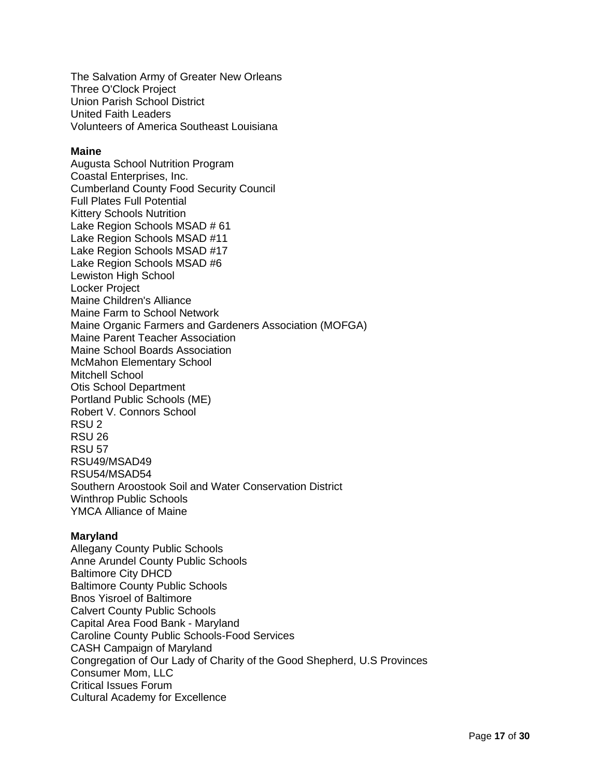The Salvation Army of Greater New Orleans Three O'Clock Project Union Parish School District United Faith Leaders Volunteers of America Southeast Louisiana

### **Maine**

Augusta School Nutrition Program Coastal Enterprises, Inc. Cumberland County Food Security Council Full Plates Full Potential Kittery Schools Nutrition Lake Region Schools MSAD # 61 Lake Region Schools MSAD #11 Lake Region Schools MSAD #17 Lake Region Schools MSAD #6 Lewiston High School Locker Project Maine Children's Alliance Maine Farm to School Network Maine Organic Farmers and Gardeners Association (MOFGA) Maine Parent Teacher Association Maine School Boards Association McMahon Elementary School Mitchell School Otis School Department Portland Public Schools (ME) Robert V. Connors School RSU 2 RSU 26 RSU 57 RSU49/MSAD49 RSU54/MSAD54 Southern Aroostook Soil and Water Conservation District Winthrop Public Schools YMCA Alliance of Maine

### **Maryland**

Allegany County Public Schools Anne Arundel County Public Schools Baltimore City DHCD Baltimore County Public Schools Bnos Yisroel of Baltimore Calvert County Public Schools Capital Area Food Bank - Maryland Caroline County Public Schools-Food Services CASH Campaign of Maryland Congregation of Our Lady of Charity of the Good Shepherd, U.S Provinces Consumer Mom, LLC Critical Issues Forum Cultural Academy for Excellence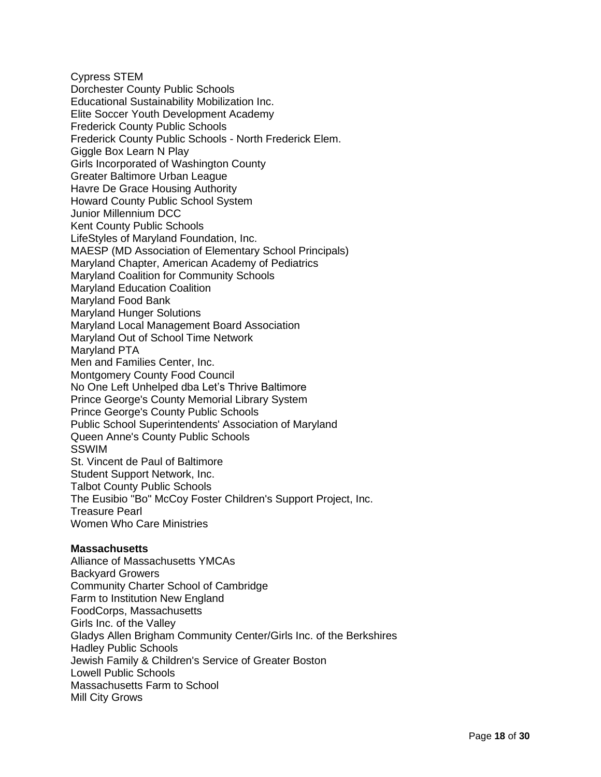Cypress STEM Dorchester County Public Schools Educational Sustainability Mobilization Inc. Elite Soccer Youth Development Academy Frederick County Public Schools Frederick County Public Schools - North Frederick Elem. Giggle Box Learn N Play Girls Incorporated of Washington County Greater Baltimore Urban League Havre De Grace Housing Authority Howard County Public School System Junior Millennium DCC Kent County Public Schools LifeStyles of Maryland Foundation, Inc. MAESP (MD Association of Elementary School Principals) Maryland Chapter, American Academy of Pediatrics Maryland Coalition for Community Schools Maryland Education Coalition Maryland Food Bank Maryland Hunger Solutions Maryland Local Management Board Association Maryland Out of School Time Network Maryland PTA Men and Families Center, Inc. Montgomery County Food Council No One Left Unhelped dba Let's Thrive Baltimore Prince George's County Memorial Library System Prince George's County Public Schools Public School Superintendents' Association of Maryland Queen Anne's County Public Schools SSWIM St. Vincent de Paul of Baltimore Student Support Network, Inc. Talbot County Public Schools The Eusibio "Bo" McCoy Foster Children's Support Project, Inc. Treasure Pearl Women Who Care Ministries

### **Massachusetts**

Alliance of Massachusetts YMCAs Backyard Growers Community Charter School of Cambridge Farm to Institution New England FoodCorps, Massachusetts Girls Inc. of the Valley Gladys Allen Brigham Community Center/Girls Inc. of the Berkshires Hadley Public Schools Jewish Family & Children's Service of Greater Boston Lowell Public Schools Massachusetts Farm to School Mill City Grows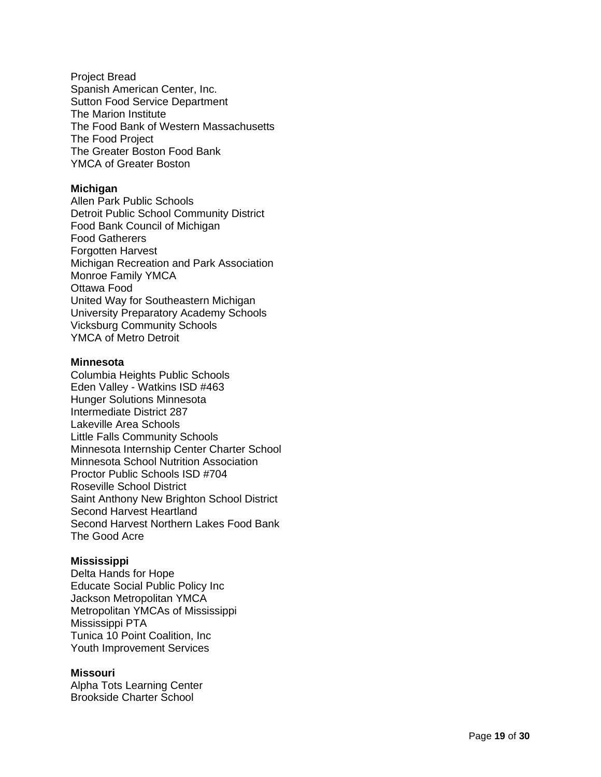Project Bread Spanish American Center, Inc. Sutton Food Service Department Th e Marion Institute The Food Bank of Western Massachusetts The Food Project The Greater Boston Food Bank YMCA of Greater Boston

## **Michigan**

Allen Park Public Schools Detroit Public School Community District Food Bank Council of Michigan Food Gatherers **Forgotten Harvest** Michigan Recreation and Park Association Monroe Family YMCA Ottawa Food United Way for Southeastern Michigan University Preparatory Academy Schools Vicksburg Community Schools YMCA of Metro Detroit

### **Minnesota**

Columbia Heights Public Schools Eden Valley - Watkins ISD #463 Hunger Solutions Minnesota Intermediate District 287 Lakeville Area Schools Little Falls Community Schools Minnesota Internship Center Charter School Minnesota School Nutrition Association Proctor Public Schools ISD #704 Roseville School District Saint Anthony New Brighton School District Second Harvest Heartland Second Harvest Northern Lakes Food Bank The Good Acre

### **Mississippi**

Delta Hands for Hope Educate Social Public Policy Inc Jackson Metropolitan YMC A Metropolitan YMCAs of Mississippi Mississippi PTA Tunica 10 Point Coalition, Inc Youth Improvement Services

# **Missouri**

Alpha Tots Learning Center Brookside Charter School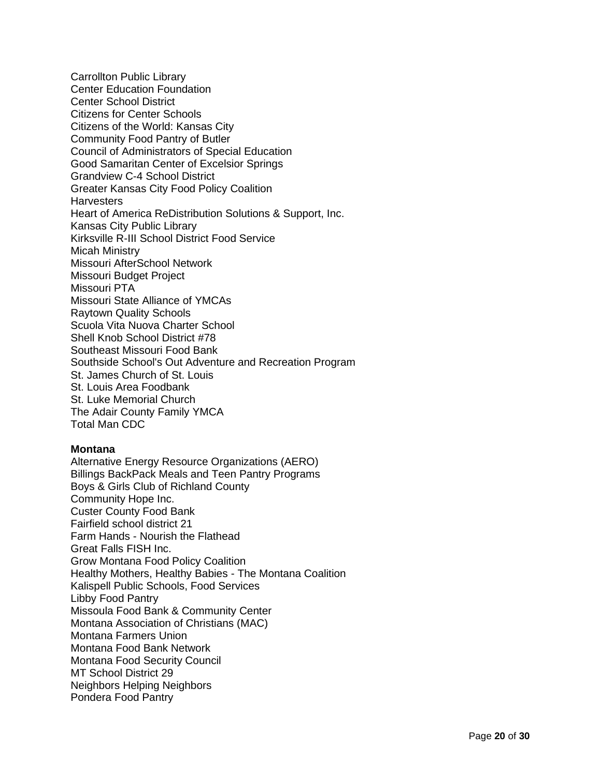Carrollton Public Library Center Education Foundation Center School District Citizens for Center Schools Citizens of the World: Kansas City Community Food Pantry of Butler Council of Administrators of Special Education Good Samaritan Center of Excelsior Springs Grandview C-4 School District Greater Kansas City Food Policy Coalition **Harvesters** Heart of America ReDistribution Solutions & Support, Inc. Kansas City Public Library Kirksville R-III School District Food Service Micah Ministry Missouri AfterSchool Network Missouri Budget Project Missouri PTA Missouri State Alliance of YMCAs Raytown Quality Schools Scuola Vita Nuova Charter School Shell Knob School District #78 Southeast Missouri Food Bank Southside School's Out Adventure and Recreation Program St. James Church of St. Louis St. Louis Area Foodbank St. Luke Memorial Church The Adair County Family YMCA Total Man CDC

## **Montana**

Alternative Energy Resource Organizations (AERO) Billings BackPack Meals and Teen Pantry Programs Boys & Girls Club of Richland County Community Hope Inc. Custer County Food Bank Fairfield school district 21 Farm Hands - Nourish the Flathead Great Falls FISH Inc. Grow Montana Food Policy Coalition Healthy Mothers, Healthy Babies - The Montana Coalition Kalispell Public Schools, Food Services Libby Food Pantry Missoula Food Bank & Community Center Montana Association of Christians (MAC) Montana Farmers Union Montana Food Bank Network Montana Food Security Council MT School District 29 Neighbors Helping Neighbors Pondera Food Pantry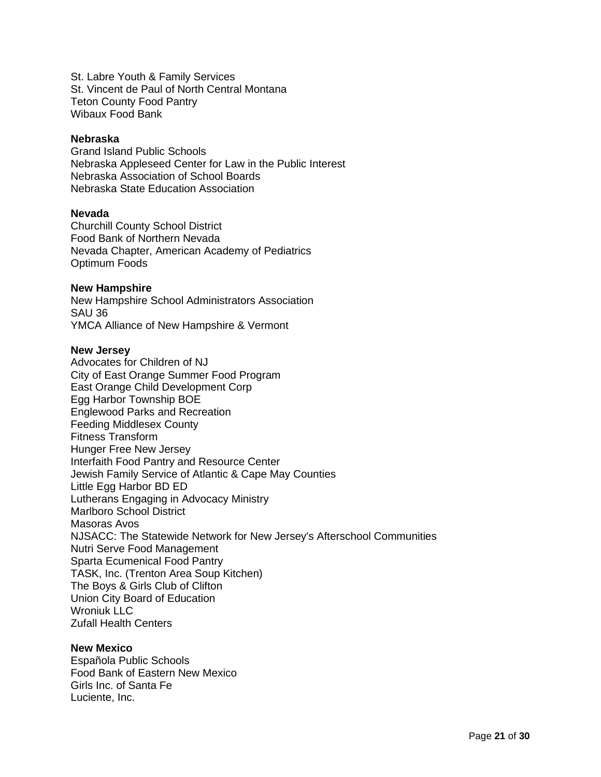St. Labre Youth & Family Services St. Vincent de Paul of North Central Montana Teton County Food Pantry Wibaux Food Bank

#### **Nebraska**

Grand Island Public Schools Nebraska Appleseed Center for Law in the Public Interest Nebraska Association of School Boards Nebraska State Education Association

#### **Nevada**

Churchill County School District Food Bank of Northern Nevada Nevada Chapter, American Academy of Pediatrics Optimum Foods

#### **New Hampshire**

New Hampshire School Administrators Association SAU 36 YMCA Alliance of New Hampshire & Vermont

#### **New Jersey**

Advocates for Children of NJ City of East Orange Summer Food Program East Orange Child Development Corp Egg Harbor Township BOE Englewood Parks and Recreation Feeding Middlesex County Fitness Transform Hunger Free New Jersey Interfaith Food Pantry and Resource Center Jewish Family Service of Atlantic & Cape May Counties Little Egg Harbor BD ED Lutherans Engaging in Advocacy Ministry Marlboro School District Masoras Avos NJSACC: The Statewide Network for New Jersey's Afterschool Communities Nutri Serve Food Management Sparta Ecumenical Food Pantry TASK, Inc. (Trenton Area Soup Kitchen) The Boys & Girls Club of Clifton Union City Board of Education Wroniuk LLC Zufall Health Centers

#### **New Mexico**

Española Public Schools Food Bank of Eastern New Mexico Girls Inc. of Santa Fe Luciente, Inc.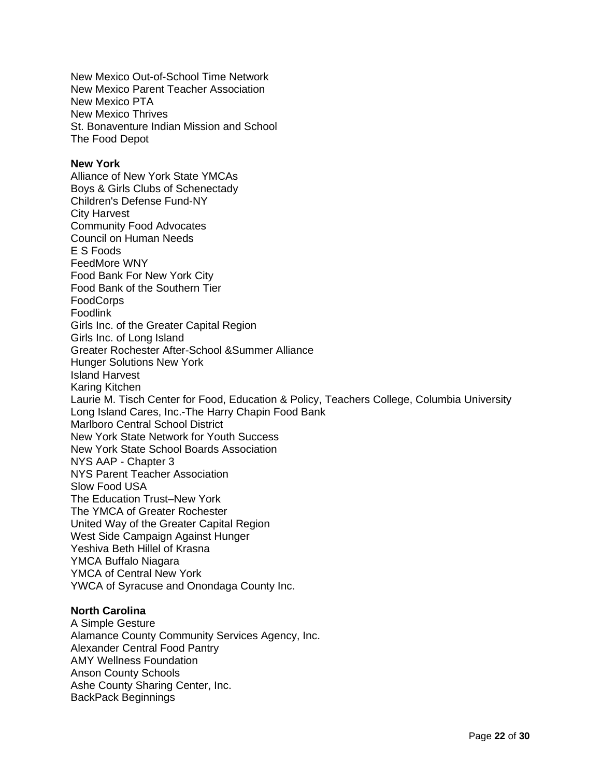New Mexico Out-of-School Time Network New Mexico Parent Teacher Association New Mexico PTA New Mexico Thrives St. Bonaventure Indian Mission and School The Food Depot

#### **New York**

Alliance of New York State YMCAs Boys & Girls Clubs of Schenectady Children's Defense Fund-NY City Harvest Community Food Advocates Council on Human Needs E S Foods FeedMore WNY Food Bank For New York City Food Bank of the Southern Tier FoodCorps Foodlink Girls Inc. of the Greater Capital Region Girls Inc. of Long Island Greater Rochester After-School &Summer Alliance Hunger Solutions New York Island Harvest Karing Kitchen Laurie M. Tisch Center for Food, Education & Policy, Teachers College, Columbia University Long Island Cares, Inc.-The Harry Chapin Food Bank Marlboro Central School District New York State Network for Youth Success New York State School Boards Association NYS AAP - Chapter 3 NYS Parent Teacher Association Slow Food USA The Education Trust–New York The YMCA of Greater Rochester United Way of the Greater Capital Region West Side Campaign Against Hunger Yeshiva Beth Hillel of Krasna YMCA Buffalo Niagara YMCA of Central New York YWCA of Syracuse and Onondaga County Inc.

### **North Carolina**

A Simple Gesture Alamance County Community Services Agency, Inc. Alexander Central Food Pantry AMY Wellness Foundation Anson County Schools Ashe County Sharing Center, Inc. BackPack Beginnings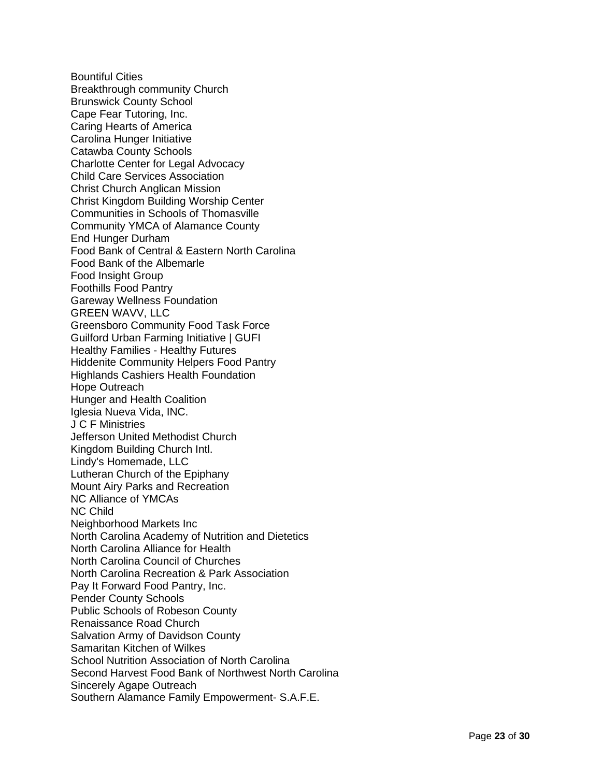Bountiful Cities Breakthrough community Church Brunswick County School Cape Fear Tutoring, Inc. Caring Hearts of America Carolina Hunger Initiative Catawba County Schools Charlotte Center for Legal Advocacy Child Care Services Association Christ Church Anglican Mission Christ Kingdom Building Worship Center Communities in Schools of Thomasville Community YMCA of Alamance County End Hunger Durham Food Bank of Central & Eastern North Carolina Food Bank of the Albemarle Food Insight Group Foothills Food Pantry Gareway Wellness Foundation GREEN WAVV, LLC Greensboro Community Food Task Force Guilford Urban Farming Initiative | GUFI Healthy Families - Healthy Futures Hiddenite Community Helpers Food Pantry Highlands Cashiers Health Foundation Hope Outreach Hunger and Health Coalition Iglesia Nueva Vida, INC. J C F Ministries Jefferson United Methodist Church Kingdom Building Church Intl. Lindy's Homemade, LLC Lutheran Church of the Epiphany Mount Airy Parks and Recreation NC Alliance of YMCAs NC Child Neighborhood Markets Inc North Carolina Academy of Nutrition and Dietetics North Carolina Alliance for Health North Carolina Council of Churches North Carolina Recreation & Park Association Pay It Forward Food Pantry, Inc. Pender County Schools Public Schools of Robeson County Renaissance Road Church Salvation Army of Davidson County Samaritan Kitchen of Wilkes School Nutrition Association of North Carolina Second Harvest Food Bank of Northwest North Carolina Sincerely Agape Outreach Southern Alamance Family Empowerment - S.A.F.E.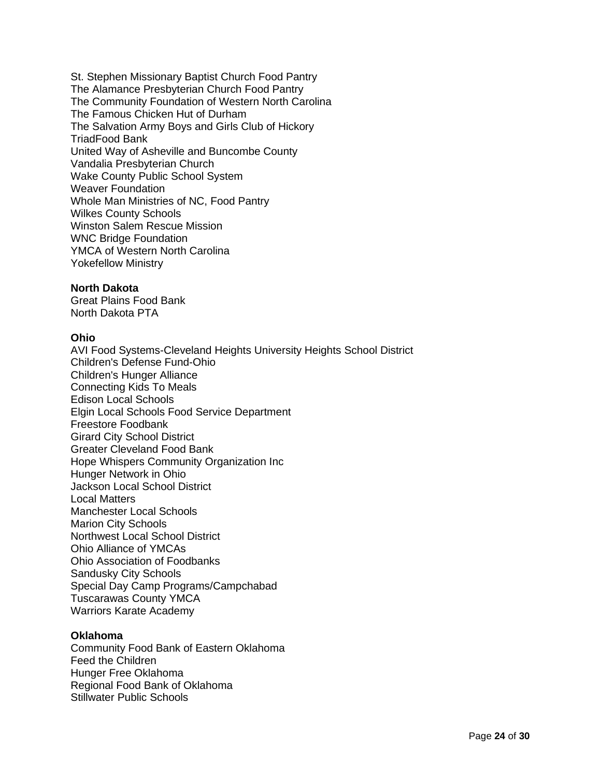St. Stephen Missionary Baptist Church Food Pantry The Alamance Presbyterian Church Food Pantry The Community Foundation of Western North Carolina The Famous Chicken Hut of Durham The Salvation Army Boys and Girls Club of Hickory TriadFood Bank United Way of Asheville and Buncombe County Vandalia Presbyterian Church Wake County Public School System Weaver Foundation Whole Man Ministries of NC, Food Pantry Wilkes County Schools Winston Salem Rescue Mission WNC Bridge Foundation YMCA of Western North Carolina Yokefellow Ministry

### **North Dakota**

Great Plains Food Bank North Dakota PTA

#### **Ohio**

AVI Food Systems-Cleveland Heights University Heights School District Children's Defense Fund-Ohio Children's Hunger Alliance Connecting Kids To Meals Edison Local Schools Elgin Local Schools Food Service Department Freestore Foodbank Girard City School District Greater Cleveland Food Bank Hope Whispers Community Organization Inc Hunger Network in Ohio Jackson Local School District Local Matters Manchester Local Schools Marion City Schools Northwest Local School District Ohio Alliance of YMCAs Ohio Association of Foodbanks Sandusky City Schools Special Day Camp Programs/Campchabad Tuscarawas County YMCA Warriors Karate Academy

#### **Oklahoma**

Community Food Bank of Eastern Oklahoma Feed the Children Hunger Free Oklahoma Regional Food Bank of Oklahoma Stillwater Public Schools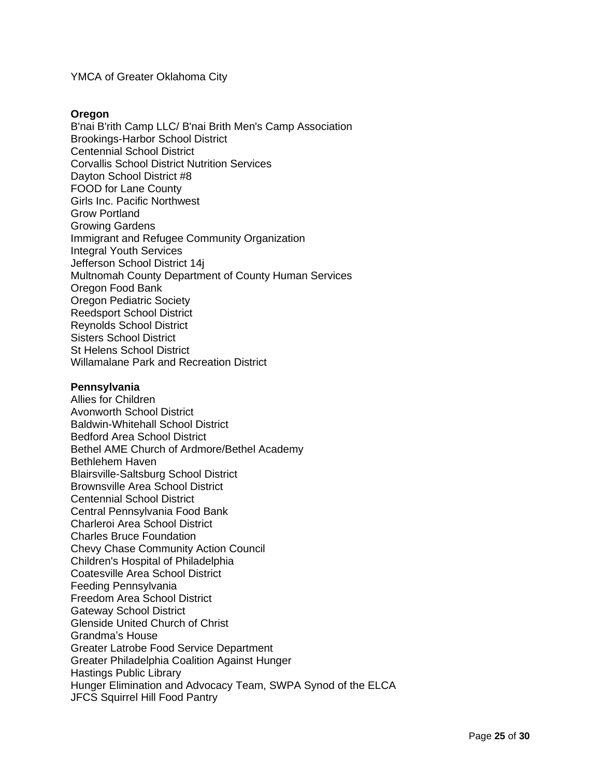### YMCA of Greater Oklahoma City

#### **Oregon**

B'nai B'rith Camp LLC/ B'nai Brith Men's Camp Association Brookings-Harbor School District Centennial School District Corvallis School District Nutrition Services Dayton School District #8 FOOD for Lane County Girls Inc. Pacific Northwest Grow Portland Growing Gardens Immigrant and Refugee Community Organization Integral Youth Services Jefferson School District 14j Multnomah County Department of County Human Services Oregon Food Bank Oregon Pediatric Society Reedsport School District Reynolds School District Sisters School District St Helens School District Willamalane Park and Recreation District

#### **Pennsylvania**

Allies for Children Avonworth School District Baldwin-Whitehall School District Bedford Area School District Bethel AME Church of Ardmore/Bethel Academy Bethlehem Haven Blairsville-Saltsburg School District Brownsville Area School District Centennial School District Central Pennsylvania Food Bank Charleroi Area School District Charles Bruce Foundation Chevy Chase Community Action Council Children's Hospital of Philadelphia Coatesville Area School District Feeding Pennsylvania Freedom Area School District Gateway School District Glenside United Church of Christ Grandma's House Greater Latrobe Food Service Department Greater Philadelphia Coalition Against Hunger Hastings Public Library Hunger Elimination and Advocacy Team, SWPA Synod of the ELCA JFCS Squirrel Hill Food Pantry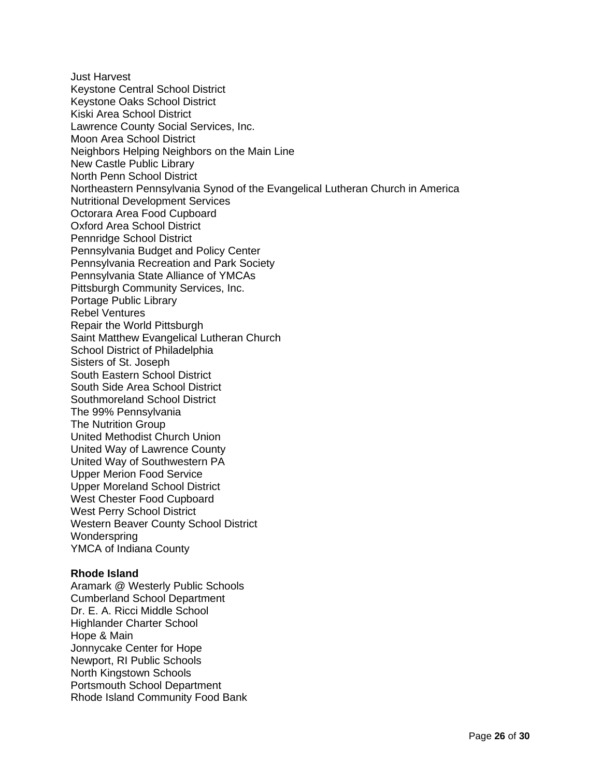Just Harvest Keystone Central School District Keystone Oaks School District Kiski Area School District Lawrence County Social Services, Inc. Moon Area School District Neighbors Helping Neighbors on the Main Line New Castle Public Library North Penn School District Northeastern Pennsylvania Synod of the Evangelical Lutheran Church in America Nutritional Development Services Octorara Area Food Cupboard Oxford Area School District Pennridge School District Pennsylvania Budget and Policy Center Pennsylvania Recreation and Park Society Pennsylvania State Alliance of YMCAs Pittsburgh Community Services, Inc. Portage Public Library Rebel Ventures Repair the World Pittsburgh Saint Matthew Evangelical Lutheran Church School District of Philadelphia Sisters of St. Joseph South Eastern School District South Side Area School District Southmoreland School District The 99% Pennsylvania The Nutrition Group United Methodist Church Union United Way of Lawrence County United Way of Southwestern PA Upper Merion Food Service Upper Moreland School District West Chester Food Cupboard West Perry School District Western Beaver County School District Wonderspring YMCA of Indiana County

### **Rhode Island**

Aramark @ Westerly Public Schools Cumberland School Department Dr. E. A. Ricci Middle School Highlander Charter School Hope & Main Jonnycake Center for Hope Newport, RI Public Schools North Kingstown Schools Portsmouth School Department Rhode Island Community Food Bank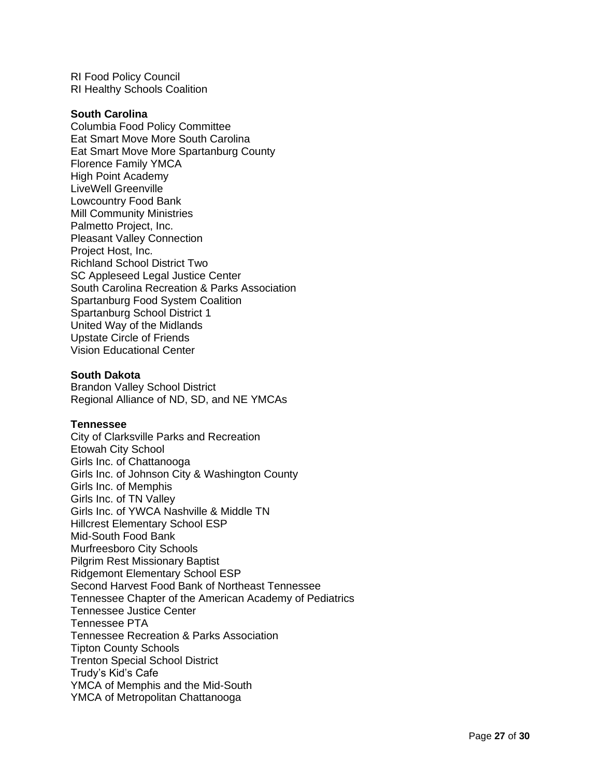RI Food Policy Council RI Healthy Schools Coalition

#### **South Carolina**

Columbia Food Policy Committee Eat Smart Move More South Carolina Eat Smart Move More Spartanburg County Florence Family YMCA High Point Academy LiveWell Greenville Lowcountry Food Bank Mill Community Ministries Palmetto Project, Inc. Pleasant Valley Connection Project Host, Inc. Richland School District Two SC Appleseed Legal Justice Center South Carolina Recreation & Parks Association Spartanburg Food System Coalition Spartanburg School District 1 United Way of the Midlands Upstate Circle of Friends Vision Educational Center

#### **South Dakota**

Brandon Valley School District Regional Alliance of ND, SD, and NE YMCAs

#### **Tennessee**

City of Clarksville Parks and Recreation Etowah City School Girls Inc. of Chattanooga Girls Inc. of Johnson City & Washington County Girls Inc. of Memphis Girls Inc. of TN Valley Girls Inc. of YWCA Nashville & Middle TN Hillcrest Elementary School ESP Mid-South Food Bank Murfreesboro City Schools Pilgrim Rest Missionary Baptist Ridgemont Elementary School ESP Second Harvest Food Bank of Northeast Tennessee Tennessee Chapter of the American Academy of Pediatrics Tennessee Justice Center Tennessee PTA Tennessee Recreation & Parks Association Tipton County Schools Trenton Special School District Trudy's Kid's Cafe YMCA of Memphis and the Mid-South YMCA of Metropolitan Chattanooga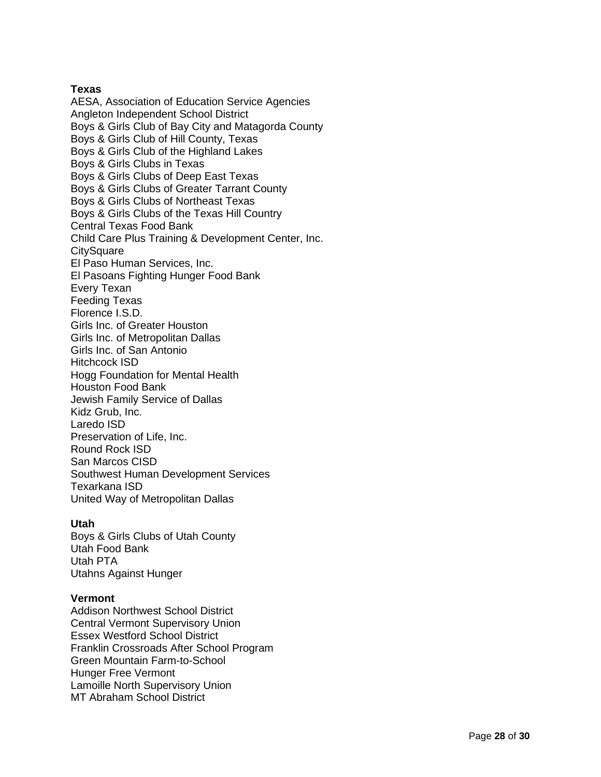# **Texas**

AESA, Association of Education Service Agencies Angleton Independent School District Boys & Girls Club of Bay City and Matagorda County Boys & Girls Club of Hill County, Texas Boys & Girls Club of the Highland Lakes Boys & Girls Clubs in Texas Boys & Girls Clubs of Deep East Texas Boys & Girls Clubs of Greater Tarrant County Boys & Girls Clubs of Northeast Texas Boys & Girls Clubs of the Texas Hill Country Central Texas Food Bank Child Care Plus Training & Development Center, Inc. **CitySquare** El Paso Human Services, Inc. El Pasoans Fighting Hunger Food Bank Every Texan Feeding Texas Florence I.S.D. Girls Inc. of Greater Houston Girls Inc. of Metropolitan Dallas Girls Inc. of San Antonio Hitchcock ISD Hogg Foundation for Mental Health Houston Food Bank Jewish Family Service of Dallas Kidz Grub , Inc . Laredo ISD Preservation of Life, Inc . Round Rock ISD San Marcos CISD Southwest Human Development Services Texarkana ISD United Way of Metropolitan Dallas

# **Utah**

Boys & Girls Clubs of Utah County Utah Food Bank Utah PTA Utahns Against Hunger

### **Vermont**

Addison Northwest School District Central Vermont Supervisory Union Essex Westford School District Franklin Crossroads After School Program Green Mountain Farm -to -School Hunger Free Vermont Lamoille North Supervisory Union MT Abraham School District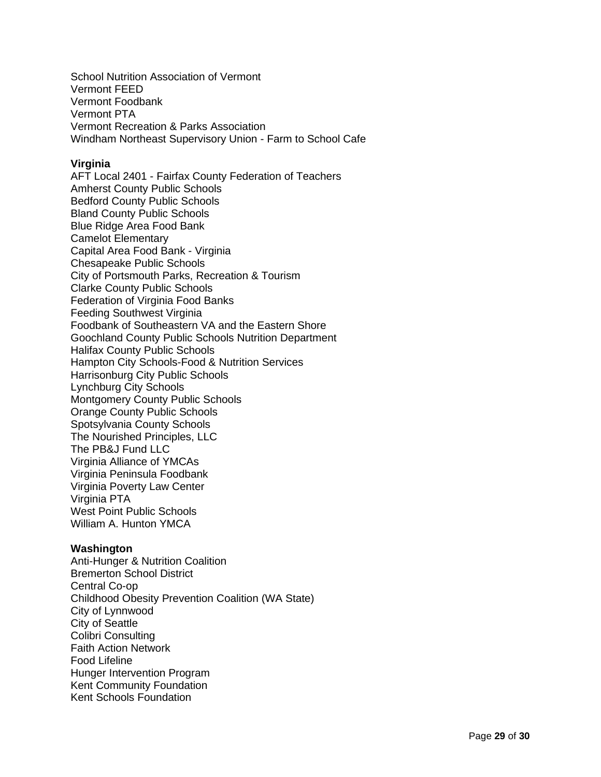School Nutrition Association of Vermont Vermont FEED Vermont Foodbank Vermont PTA Vermont Recreation & Parks Association Windham Northeast Supervisory Union - Farm to School Cafe

### **Virginia**

AFT Local 2401 - Fairfax County Federation of Teachers Amherst County Public Schools Bedford County Public Schools Bland County Public Schools Blue Ridge Area Food Bank Camelot Elementary Capital Area Food Bank - Virginia Chesapeake Public Schools City of Portsmouth Parks, Recreation & Tourism Clarke County Public Schools Federation of Virginia Food Banks Feeding Southwest Virginia Foodbank of Southeastern VA and the Eastern Shore Goochland County Public Schools Nutrition Department Halifax County Public Schools Hampton City Schools-Food & Nutrition Services Harrisonburg City Public Schools Lynchburg City Schools Montgomery County Public Schools Orange County Public Schools Spotsylvania County Schools The Nourished Principles, LLC The PB&J Fund LLC Virginia Alliance of YMCAs Virginia Peninsula Foodbank Virginia Poverty Law Center Virginia PTA West Point Public Schools William A. Hunton YMCA

#### **Washington**

Anti-Hunger & Nutrition Coalition Bremerton School District Central Co-op Childhood Obesity Prevention Coalition (WA State) City of Lynnwood City of Seattle Colibri Consulting Faith Action Network Food Lifeline Hunger Intervention Program Kent Community Foundation Kent Schools Foundation